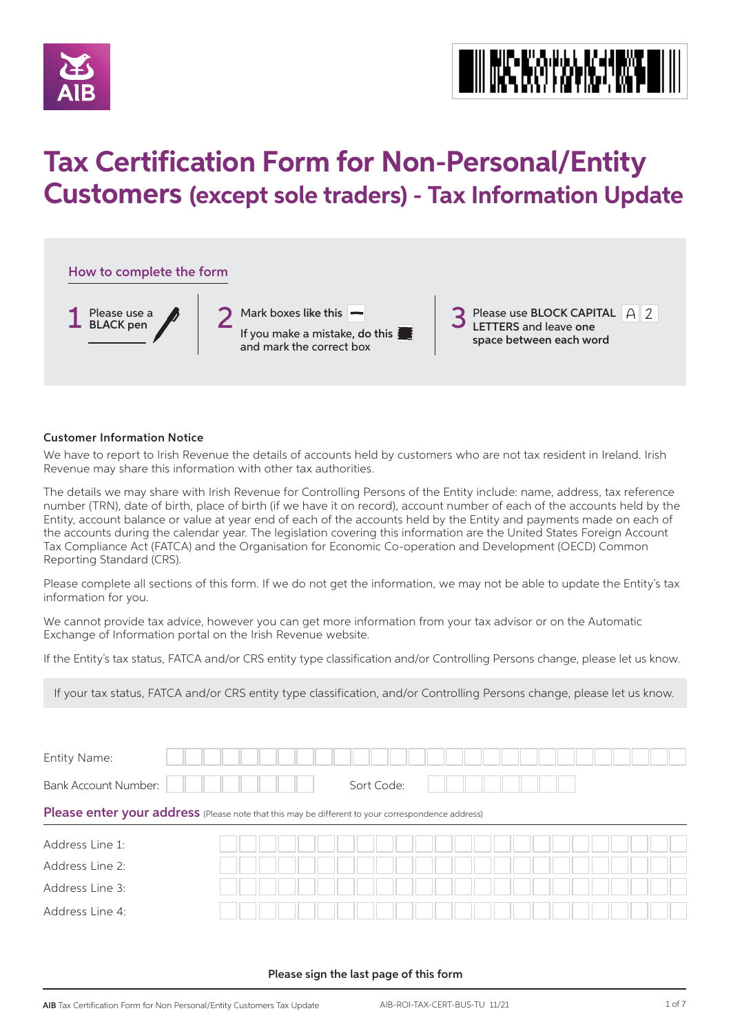



# **Tax Certification Form for Non-Personal/Entity Customers (except sole traders) - Tax Information Update**



#### Customer Information Notice

We have to report to Irish Revenue the details of accounts held by customers who are not tax resident in Ireland. Irish Revenue may share this information with other tax authorities.

The details we may share with Irish Revenue for Controlling Persons of the Entity include: name, address, tax reference number (TRN), date of birth, place of birth (if we have it on record), account number of each of the accounts held by the Entity, account balance or value at year end of each of the accounts held by the Entity and payments made on each of the accounts during the calendar year. The legislation covering this information are the United States Foreign Account Tax Compliance Act (FATCA) and the Organisation for Economic Co-operation and Development (OECD) Common Reporting Standard (CRS).

Please complete all sections of this form. If we do not get the information, we may not be able to update the Entity's tax information for you.

We cannot provide tax advice, however you can get more information from your tax advisor or on the Automatic Exchange of Information portal on the Irish Revenue website.

If the Entity's tax status, FATCA and/or CRS entity type classification and/or Controlling Persons change, please let us know.

If your tax status, FATCA and/or CRS entity type classification, and/or Controlling Persons change, please let us know.

| <b>Entity Name:</b>                                                                               |  |  |  |            |  |  |  |  |  |  |  |  |
|---------------------------------------------------------------------------------------------------|--|--|--|------------|--|--|--|--|--|--|--|--|
| <b>Bank Account Number:</b>                                                                       |  |  |  | Sort Code: |  |  |  |  |  |  |  |  |
| Please enter your address (Please note that this may be different to your correspondence address) |  |  |  |            |  |  |  |  |  |  |  |  |
| Address Line 1:                                                                                   |  |  |  |            |  |  |  |  |  |  |  |  |
| Address Line 2:                                                                                   |  |  |  |            |  |  |  |  |  |  |  |  |
| Address Line 3:                                                                                   |  |  |  |            |  |  |  |  |  |  |  |  |
|                                                                                                   |  |  |  |            |  |  |  |  |  |  |  |  |

#### Please sign the last page of this form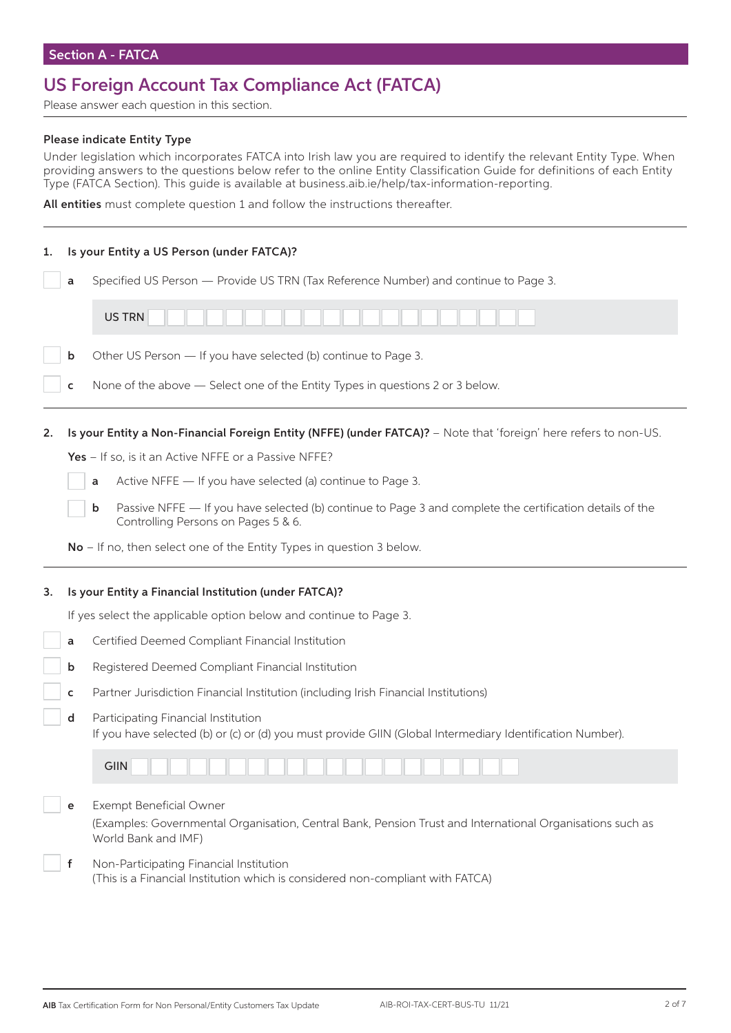# US Foreign Account Tax Compliance Act (FATCA)

Please answer each question in this section.

#### Please indicate Entity Type

Under legislation which incorporates FATCA into Irish law you are required to identify the relevant Entity Type. When providing answers to the questions below refer to the online Entity Classification Guide for definitions of each Entity Type (FATCA Section). This guide is available at business.aib.ie/help/tax-information-reporting.

All entities must complete question 1 and follow the instructions thereafter.

| 1. |   | Is your Entity a US Person (under FATCA)?                                                                                                                                |
|----|---|--------------------------------------------------------------------------------------------------------------------------------------------------------------------------|
|    | a | Specified US Person - Provide US TRN (Tax Reference Number) and continue to Page 3.                                                                                      |
|    |   | <b>US TRN</b>                                                                                                                                                            |
|    | b | Other US Person - If you have selected (b) continue to Page 3.                                                                                                           |
|    | c | None of the above - Select one of the Entity Types in questions 2 or 3 below.                                                                                            |
| 2. |   | Is your Entity a Non-Financial Foreign Entity (NFFE) (under FATCA)? - Note that 'foreign' here refers to non-US.<br>Yes - If so, is it an Active NFFE or a Passive NFFE? |
|    |   | Active NFFE - If you have selected (a) continue to Page 3.<br>a                                                                                                          |
|    |   | Passive NFFE - If you have selected (b) continue to Page 3 and complete the certification details of the<br>b<br>Controlling Persons on Pages 5 & 6.                     |
|    |   | No - If no, then select one of the Entity Types in question 3 below.                                                                                                     |
|    |   |                                                                                                                                                                          |
| з. |   | Is your Entity a Financial Institution (under FATCA)?                                                                                                                    |
|    |   | If yes select the applicable option below and continue to Page 3.                                                                                                        |
|    | a | Certified Deemed Compliant Financial Institution                                                                                                                         |
|    | b | Registered Deemed Compliant Financial Institution                                                                                                                        |
|    | c | Partner Jurisdiction Financial Institution (including Irish Financial Institutions)                                                                                      |
|    | d | Participating Financial Institution<br>If you have selected (b) or (c) or (d) you must provide GIIN (Global Intermediary Identification Number).                         |
|    |   | GIIN                                                                                                                                                                     |
|    | е | <b>Exempt Beneficial Owner</b><br>(Examples: Governmental Organisation, Central Bank, Pension Trust and International Organisations such as<br>World Bank and IMF)       |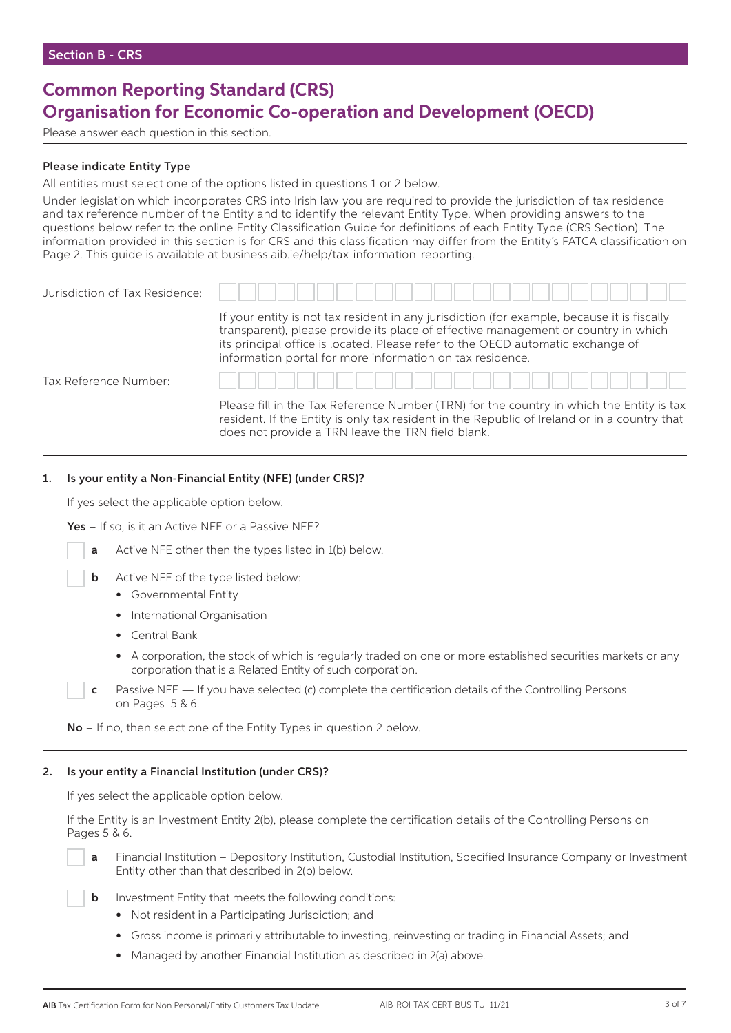### **Common Reporting Standard (CRS) Organisation for Economic Co-operation and Development (OECD)**

Please answer each question in this section.

#### Please indicate Entity Type

All entities must select one of the options listed in questions 1 or 2 below.

Under legislation which incorporates CRS into Irish law you are required to provide the jurisdiction of tax residence and tax reference number of the Entity and to identify the relevant Entity Type. When providing answers to the questions below refer to the online Entity Classification Guide for definitions of each Entity Type (CRS Section). The information provided in this section is for CRS and this classification may differ from the Entity's FATCA classification on Page 2. This guide is available at business.aib.ie/help/tax-information-reporting.

| Jurisdiction of Tax Residence: |                                                                                                                                                                                                                                                                                                                                   |
|--------------------------------|-----------------------------------------------------------------------------------------------------------------------------------------------------------------------------------------------------------------------------------------------------------------------------------------------------------------------------------|
|                                | If your entity is not tax resident in any jurisdiction (for example, because it is fiscally<br>transparent), please provide its place of effective management or country in which<br>its principal office is located. Please refer to the OECD automatic exchange of<br>information portal for more information on tax residence. |
| Tax Reference Number:          |                                                                                                                                                                                                                                                                                                                                   |
|                                | Please fill in the Tax Reference Number (TRN) for the country in which the Entity is tax<br>resident. If the Entity is only tax resident in the Republic of Ireland or in a country that                                                                                                                                          |

does not provide a TRN leave the TRN field blank.

#### 1. Is your entity a Non-Financial Entity (NFE) (under CRS)?

If yes select the applicable option below.

Yes - If so, is it an Active NFE or a Passive NFE?

- a Active NFE other then the types listed in 1(b) below.
- **b** Active NFE of the type listed below:
	- Governmental Entity
	- International Organisation
	- Central Bank
	- A corporation, the stock of which is regularly traded on one or more established securities markets or any corporation that is a Related Entity of such corporation.
- c Passive NFE If you have selected (c) complete the certification details of the Controlling Persons on Pages 5 & 6.

No – If no, then select one of the Entity Types in question 2 below.

#### 2. Is your entity a Financial Institution (under CRS)?

If yes select the applicable option below.

 If the Entity is an Investment Entity 2(b), please complete the certification details of the Controlling Persons on Pages 5 & 6.

Financial Institution – Depository Institution, Custodial Institution, Specified Insurance Company or Investment Entity other than that described in 2(b) below.

**b** Investment Entity that meets the following conditions:

- Not resident in a Participating Jurisdiction; and
- Gross income is primarily attributable to investing, reinvesting or trading in Financial Assets; and
- Managed by another Financial Institution as described in 2(a) above.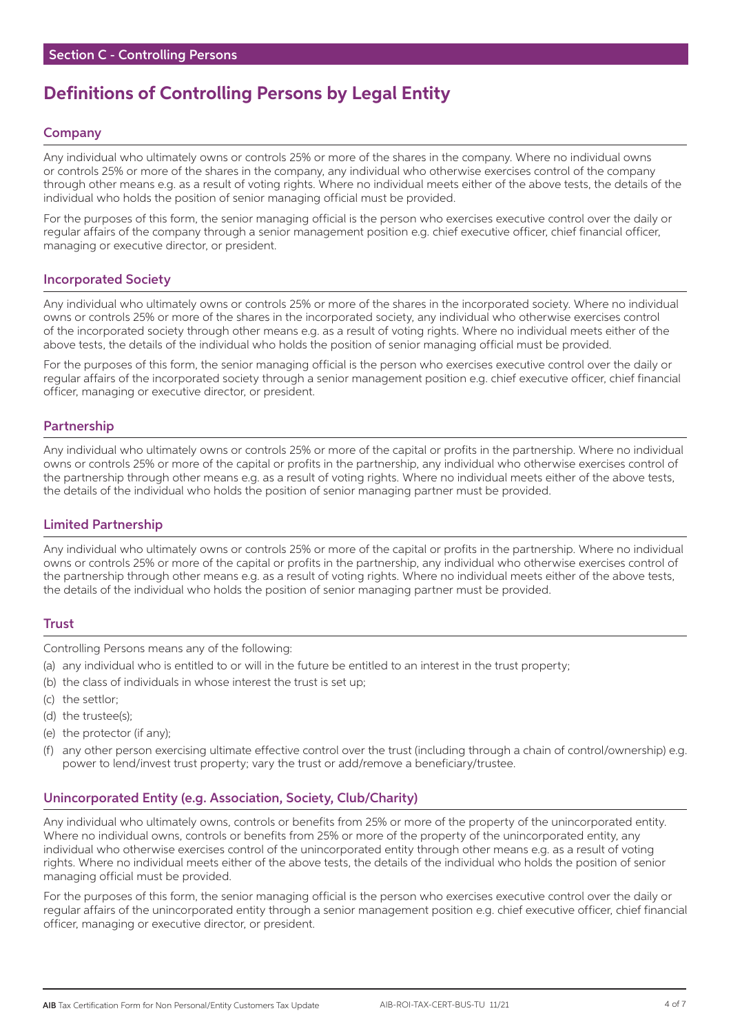# **Definitions of Controlling Persons by Legal Entity**

#### Company

Any individual who ultimately owns or controls 25% or more of the shares in the company. Where no individual owns or controls 25% or more of the shares in the company, any individual who otherwise exercises control of the company through other means e.g. as a result of voting rights. Where no individual meets either of the above tests, the details of the individual who holds the position of senior managing official must be provided.

For the purposes of this form, the senior managing official is the person who exercises executive control over the daily or regular affairs of the company through a senior management position e.g. chief executive officer, chief financial officer, managing or executive director, or president.

#### Incorporated Society

Any individual who ultimately owns or controls 25% or more of the shares in the incorporated society. Where no individual owns or controls 25% or more of the shares in the incorporated society, any individual who otherwise exercises control of the incorporated society through other means e.g. as a result of voting rights. Where no individual meets either of the above tests, the details of the individual who holds the position of senior managing official must be provided.

For the purposes of this form, the senior managing official is the person who exercises executive control over the daily or regular affairs of the incorporated society through a senior management position e.g. chief executive officer, chief financial officer, managing or executive director, or president.

#### Partnership

Any individual who ultimately owns or controls 25% or more of the capital or profits in the partnership. Where no individual owns or controls 25% or more of the capital or profits in the partnership, any individual who otherwise exercises control of the partnership through other means e.g. as a result of voting rights. Where no individual meets either of the above tests, the details of the individual who holds the position of senior managing partner must be provided.

#### Limited Partnership

Any individual who ultimately owns or controls 25% or more of the capital or profits in the partnership. Where no individual owns or controls 25% or more of the capital or profits in the partnership, any individual who otherwise exercises control of the partnership through other means e.g. as a result of voting rights. Where no individual meets either of the above tests, the details of the individual who holds the position of senior managing partner must be provided.

#### **Trust**

Controlling Persons means any of the following:

- (a) any individual who is entitled to or will in the future be entitled to an interest in the trust property;
- (b) the class of individuals in whose interest the trust is set up;
- (c) the settlor;
- (d) the trustee(s);
- (e) the protector (if any);
- (f) any other person exercising ultimate effective control over the trust (including through a chain of control/ownership) e.g. power to lend/invest trust property; vary the trust or add/remove a beneficiary/trustee.

#### Unincorporated Entity (e.g. Association, Society, Club/Charity)

Any individual who ultimately owns, controls or benefits from 25% or more of the property of the unincorporated entity. Where no individual owns, controls or benefits from 25% or more of the property of the unincorporated entity, any individual who otherwise exercises control of the unincorporated entity through other means e.g. as a result of voting rights. Where no individual meets either of the above tests, the details of the individual who holds the position of senior managing official must be provided.

For the purposes of this form, the senior managing official is the person who exercises executive control over the daily or regular affairs of the unincorporated entity through a senior management position e.g. chief executive officer, chief financial officer, managing or executive director, or president.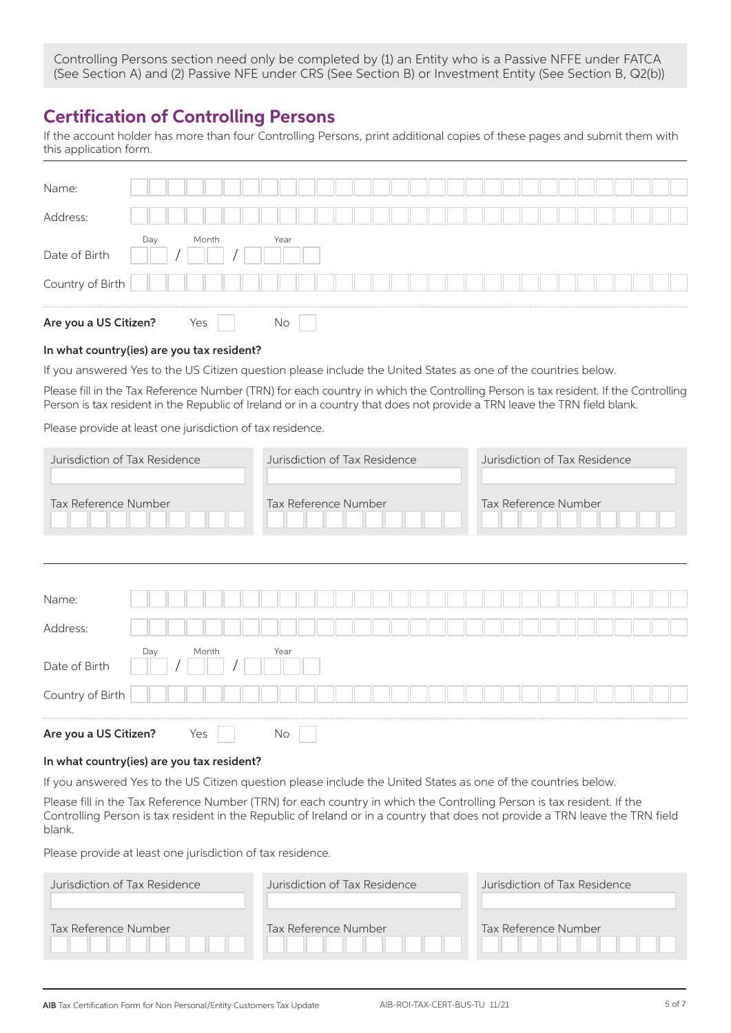Controlling Persons section need only be completed by (1) an Entity who is a Passive NFFE under FATCA (See Section A) and (2) Passive NFE under CRS (See Section B) or Investment Entity (See Section B, Q2(b))

### **Certification of Controlling Persons**

If the account holder has more than four Controlling Persons, print additional copies of these pages and submit them with this application form.

| Name:<br>Address:     |     |     |       |  |      |  |  |  |  |  |  |  |  |  |  |  |
|-----------------------|-----|-----|-------|--|------|--|--|--|--|--|--|--|--|--|--|--|
| Date of Birth         | Day |     | Month |  | Year |  |  |  |  |  |  |  |  |  |  |  |
| Country of Birth      |     |     |       |  |      |  |  |  |  |  |  |  |  |  |  |  |
| Are you a US Citizen? |     | Yes |       |  | No   |  |  |  |  |  |  |  |  |  |  |  |

#### In what country(ies) are you tax resident?

If you answered Yes to the US Citizen question please include the United States as one of the countries below.

Please fill in the Tax Reference Number (TRN) for each country in which the Controlling Person is tax resident. If the Controlling Person is tax resident in the Republic of Ireland or in a country that does not provide a TRN leave the TRN field blank.

Please provide at least one jurisdiction of tax residence.

| Jurisdiction of Tax Residence                    | Jurisdiction of Tax Residence | Jurisdiction of Tax Residence |
|--------------------------------------------------|-------------------------------|-------------------------------|
| Tax Reference Number                             | Tax Reference Number          | Tax Reference Number          |
| Name:<br>Address:                                |                               |                               |
| Month<br>Day<br>Date of Birth                    | Year                          |                               |
| Country of Birth<br>Are you a US Citizen?<br>Yes | No                            |                               |

#### In what country(ies) are you tax resident?

If you answered Yes to the US Citizen question please include the United States as one of the countries below.

Please fill in the Tax Reference Number (TRN) for each country in which the Controlling Person is tax resident. If the Controlling Person is tax resident in the Republic of Ireland or in a country that does not provide a TRN leave the TRN field blank.

Please provide at least one jurisdiction of tax residence.

| Jurisdiction of Tax Residence | Jurisdiction of Tax Residence | Jurisdiction of Tax Residence |
|-------------------------------|-------------------------------|-------------------------------|
|                               |                               |                               |
| Tax Reference Number          | Tax Reference Number          | Tax Reference Number          |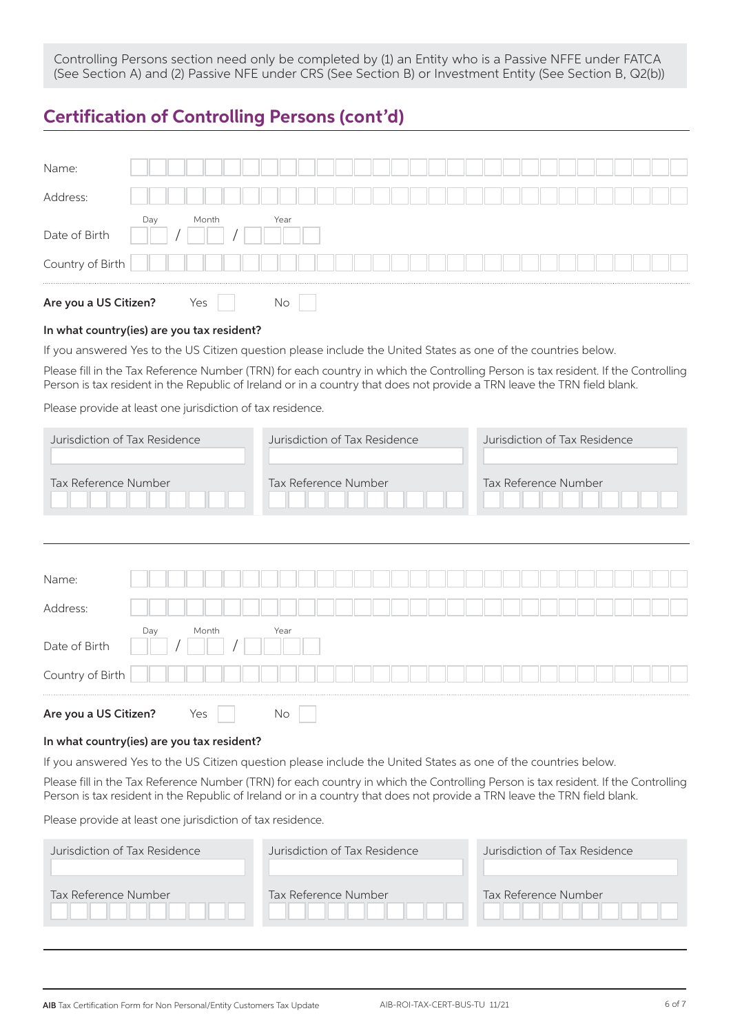Controlling Persons section need only be completed by (1) an Entity who is a Passive NFFE under FATCA (See Section A) and (2) Passive NFE under CRS (See Section B) or Investment Entity (See Section B, Q2(b))

### **Certification of Controlling Persons (cont'd)**

| Name:                 |     |     |       |  |      |  |  |  |  |  |  |  |  |  |  |  |
|-----------------------|-----|-----|-------|--|------|--|--|--|--|--|--|--|--|--|--|--|
| Address:              |     |     |       |  |      |  |  |  |  |  |  |  |  |  |  |  |
| Date of Birth         | Day |     | Month |  | Year |  |  |  |  |  |  |  |  |  |  |  |
| Country of Birth      |     |     |       |  |      |  |  |  |  |  |  |  |  |  |  |  |
| Are you a US Citizen? |     | Yes |       |  | No   |  |  |  |  |  |  |  |  |  |  |  |

#### In what country(ies) are you tax resident?

If you answered Yes to the US Citizen question please include the United States as one of the countries below.

Please fill in the Tax Reference Number (TRN) for each country in which the Controlling Person is tax resident. If the Controlling Person is tax resident in the Republic of Ireland or in a country that does not provide a TRN leave the TRN field blank.

Please provide at least one jurisdiction of tax residence.

| Jurisdiction of Tax Residence | Jurisdiction of Tax Residence | Jurisdiction of Tax Residence |
|-------------------------------|-------------------------------|-------------------------------|
| Tax Reference Number          | Tax Reference Number          | Tax Reference Number          |

| Name:                 |     |       |  |      |  |  |  |  |  |  |  |  |  |  |  |
|-----------------------|-----|-------|--|------|--|--|--|--|--|--|--|--|--|--|--|
| Address:              |     |       |  |      |  |  |  |  |  |  |  |  |  |  |  |
| Date of Birth         | Day | Month |  | Year |  |  |  |  |  |  |  |  |  |  |  |
| Country of Birth      |     |       |  |      |  |  |  |  |  |  |  |  |  |  |  |
| Are you a US Citizen? |     | Yes   |  | No   |  |  |  |  |  |  |  |  |  |  |  |

#### In what country(ies) are you tax resident?

If you answered Yes to the US Citizen question please include the United States as one of the countries below.

Please fill in the Tax Reference Number (TRN) for each country in which the Controlling Person is tax resident. If the Controlling Person is tax resident in the Republic of Ireland or in a country that does not provide a TRN leave the TRN field blank.

Please provide at least one jurisdiction of tax residence.

| Jurisdiction of Tax Residence | Jurisdiction of Tax Residence | Jurisdiction of Tax Residence |
|-------------------------------|-------------------------------|-------------------------------|
| Tax Reference Number          | Tax Reference Number          | Tax Reference Number          |